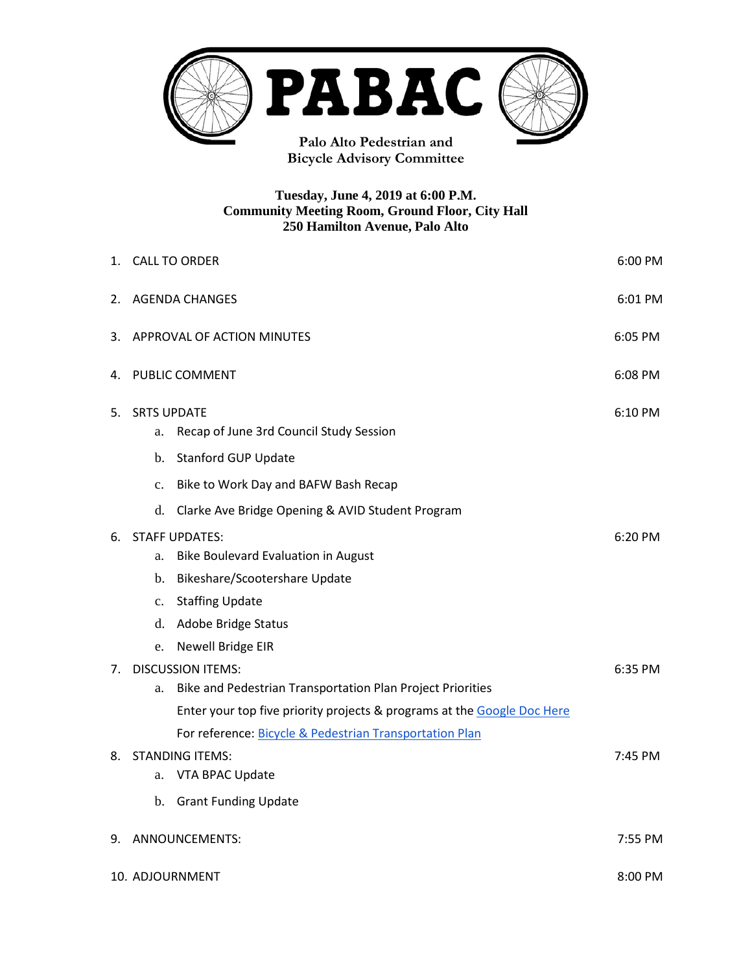

**Bicycle Advisory Committee**

#### **Tuesday, June 4, 2019 at 6:00 P.M. Community Meeting Room, Ground Floor, City Hall 250 Hamilton Avenue, Palo Alto**

| 1. | <b>CALL TO ORDER</b><br>6:00 PM                                                                                                                                                                                      |         |  |
|----|----------------------------------------------------------------------------------------------------------------------------------------------------------------------------------------------------------------------|---------|--|
| 2. | <b>AGENDA CHANGES</b><br>6:01 PM                                                                                                                                                                                     |         |  |
| 3. | APPROVAL OF ACTION MINUTES<br>6:05 PM                                                                                                                                                                                |         |  |
| 4. | PUBLIC COMMENT<br>6:08 PM                                                                                                                                                                                            |         |  |
| 5. | <b>SRTS UPDATE</b><br>Recap of June 3rd Council Study Session<br>a.<br><b>Stanford GUP Update</b><br>b.                                                                                                              |         |  |
|    | Bike to Work Day and BAFW Bash Recap<br>c.                                                                                                                                                                           |         |  |
|    | Clarke Ave Bridge Opening & AVID Student Program<br>d.                                                                                                                                                               |         |  |
| 6. | <b>STAFF UPDATES:</b><br><b>Bike Boulevard Evaluation in August</b><br>a.<br>Bikeshare/Scootershare Update<br>b.<br><b>Staffing Update</b><br>$\mathbf{c}$ .<br>Adobe Bridge Status<br>d.<br>Newell Bridge EIR<br>e. | 6:20 PM |  |
| 7. | <b>DISCUSSION ITEMS:</b><br>Bike and Pedestrian Transportation Plan Project Priorities<br>a.<br>Enter your top five priority projects & programs at the Google Doc Here                                              | 6:35 PM |  |
| 8. | For reference: Bicycle & Pedestrian Transportation Plan<br><b>STANDING ITEMS:</b><br>VTA BPAC Update<br>a.<br><b>Grant Funding Update</b><br>b.                                                                      | 7:45 PM |  |
| 9. | ANNOUNCEMENTS:<br>7:55 PM                                                                                                                                                                                            |         |  |
|    | 10. ADJOURNMENT<br>8:00 PM                                                                                                                                                                                           |         |  |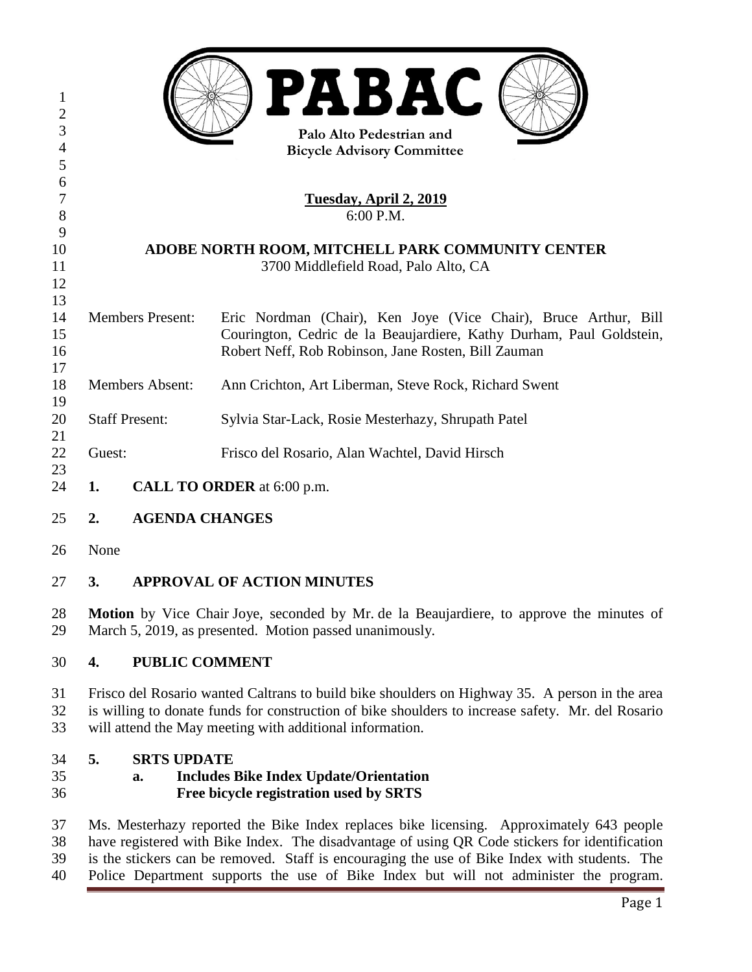| 1<br>$\overline{2}$<br>$\mathfrak{Z}$ |                                                                                                                                                     | <b>PABAC</b><br>Palo Alto Pedestrian and                             |  |
|---------------------------------------|-----------------------------------------------------------------------------------------------------------------------------------------------------|----------------------------------------------------------------------|--|
| $\overline{4}$                        | <b>Bicycle Advisory Committee</b>                                                                                                                   |                                                                      |  |
| 5                                     |                                                                                                                                                     |                                                                      |  |
| 6                                     |                                                                                                                                                     |                                                                      |  |
| $\tau$                                | <u> Tuesday, April 2, 2019</u>                                                                                                                      |                                                                      |  |
| 8                                     | 6:00 P.M.                                                                                                                                           |                                                                      |  |
| 9                                     |                                                                                                                                                     |                                                                      |  |
| 10                                    | ADOBE NORTH ROOM, MITCHELL PARK COMMUNITY CENTER                                                                                                    |                                                                      |  |
| 11                                    | 3700 Middlefield Road, Palo Alto, CA                                                                                                                |                                                                      |  |
| 12                                    |                                                                                                                                                     |                                                                      |  |
| 13                                    |                                                                                                                                                     |                                                                      |  |
| 14                                    | <b>Members Present:</b>                                                                                                                             | Eric Nordman (Chair), Ken Joye (Vice Chair), Bruce Arthur, Bill      |  |
| 15                                    |                                                                                                                                                     | Courington, Cedric de la Beaujardiere, Kathy Durham, Paul Goldstein, |  |
| 16                                    |                                                                                                                                                     | Robert Neff, Rob Robinson, Jane Rosten, Bill Zauman                  |  |
| 17                                    |                                                                                                                                                     |                                                                      |  |
| 18                                    | <b>Members Absent:</b>                                                                                                                              | Ann Crichton, Art Liberman, Steve Rock, Richard Swent                |  |
| 19                                    |                                                                                                                                                     |                                                                      |  |
| 20                                    | <b>Staff Present:</b>                                                                                                                               | Sylvia Star-Lack, Rosie Mesterhazy, Shrupath Patel                   |  |
| 21                                    |                                                                                                                                                     |                                                                      |  |
| 22                                    | Guest:                                                                                                                                              | Frisco del Rosario, Alan Wachtel, David Hirsch                       |  |
| 23                                    |                                                                                                                                                     |                                                                      |  |
| 24                                    | CALL TO ORDER at 6:00 p.m.<br>1.                                                                                                                    |                                                                      |  |
|                                       |                                                                                                                                                     |                                                                      |  |
| 25                                    | <b>AGENDA CHANGES</b><br>2.                                                                                                                         |                                                                      |  |
| 26                                    | None                                                                                                                                                |                                                                      |  |
| 27                                    | <b>APPROVAL OF ACTION MINUTES</b><br>3.                                                                                                             |                                                                      |  |
| 28<br>29                              | Motion by Vice Chair Joye, seconded by Mr. de la Beaujardiere, to approve the minutes of<br>March 5, 2019, as presented. Motion passed unanimously. |                                                                      |  |
| 30                                    | 4.                                                                                                                                                  | <b>PUBLIC COMMENT</b>                                                |  |
| 31                                    | Frisco del Rosario wanted Caltrans to build bike shoulders on Highway 35. A person in the area                                                      |                                                                      |  |
| 32                                    | is willing to donate funds for construction of bike shoulders to increase safety. Mr. del Rosario                                                   |                                                                      |  |
| 33                                    | will attend the May meeting with additional information.                                                                                            |                                                                      |  |
|                                       |                                                                                                                                                     |                                                                      |  |
| 34                                    | 5.<br><b>SRTS UPDATE</b>                                                                                                                            |                                                                      |  |
| 35                                    | <b>Includes Bike Index Update/Orientation</b><br>a.                                                                                                 |                                                                      |  |
| 36                                    | Free bicycle registration used by SRTS                                                                                                              |                                                                      |  |
|                                       |                                                                                                                                                     |                                                                      |  |
| 37                                    | Ms. Mesterhazy reported the Bike Index replaces bike licensing. Approximately 643 people                                                            |                                                                      |  |
| 38                                    | have registered with Bike Index. The disadvantage of using QR Code stickers for identification                                                      |                                                                      |  |

is the stickers can be removed. Staff is encouraging the use of Bike Index with students. The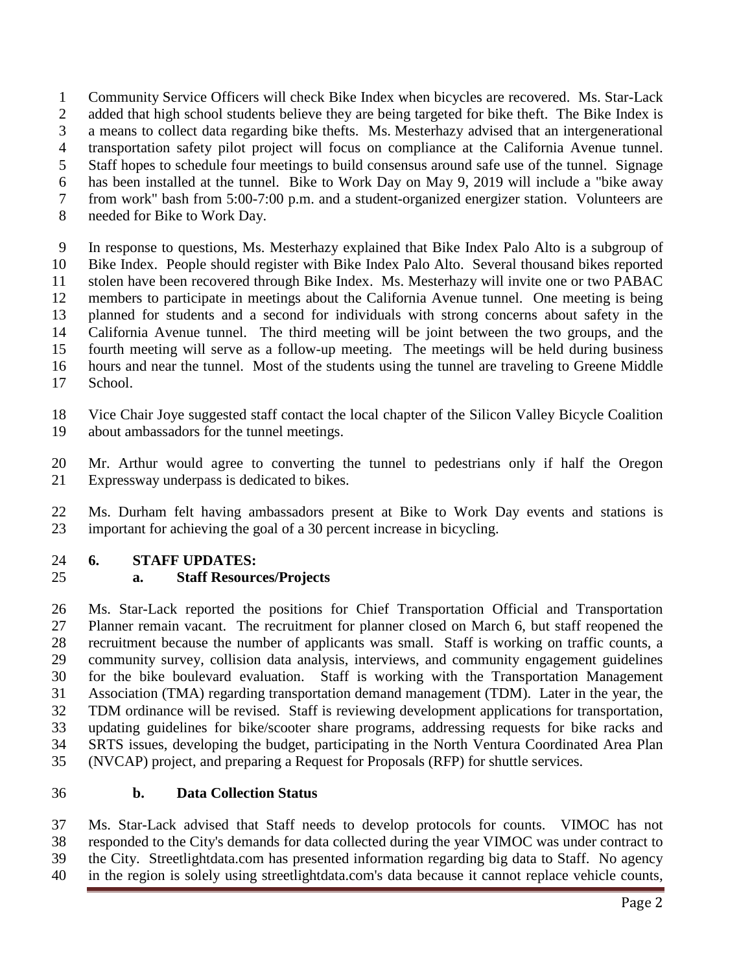Community Service Officers will check Bike Index when bicycles are recovered. Ms. Star-Lack 2 added that high school students believe they are being targeted for bike theft. The Bike Index is a means to collect data regarding bike thefts. Ms. Mesterhazy advised that an intergenerational transportation safety pilot project will focus on compliance at the California Avenue tunnel. Staff hopes to schedule four meetings to build consensus around safe use of the tunnel. Signage has been installed at the tunnel. Bike to Work Day on May 9, 2019 will include a "bike away from work" bash from 5:00-7:00 p.m. and a student-organized energizer station. Volunteers are needed for Bike to Work Day.

 In response to questions, Ms. Mesterhazy explained that Bike Index Palo Alto is a subgroup of Bike Index. People should register with Bike Index Palo Alto. Several thousand bikes reported stolen have been recovered through Bike Index. Ms. Mesterhazy will invite one or two PABAC members to participate in meetings about the California Avenue tunnel. One meeting is being planned for students and a second for individuals with strong concerns about safety in the California Avenue tunnel. The third meeting will be joint between the two groups, and the fourth meeting will serve as a follow-up meeting. The meetings will be held during business hours and near the tunnel. Most of the students using the tunnel are traveling to Greene Middle School.

 Vice Chair Joye suggested staff contact the local chapter of the Silicon Valley Bicycle Coalition about ambassadors for the tunnel meetings.

 Mr. Arthur would agree to converting the tunnel to pedestrians only if half the Oregon Expressway underpass is dedicated to bikes.

 Ms. Durham felt having ambassadors present at Bike to Work Day events and stations is important for achieving the goal of a 30 percent increase in bicycling.

#### **6. STAFF UPDATES:**

# **a. Staff Resources/Projects**

 Ms. Star-Lack reported the positions for Chief Transportation Official and Transportation Planner remain vacant. The recruitment for planner closed on March 6, but staff reopened the recruitment because the number of applicants was small. Staff is working on traffic counts, a community survey, collision data analysis, interviews, and community engagement guidelines for the bike boulevard evaluation. Staff is working with the Transportation Management Association (TMA) regarding transportation demand management (TDM). Later in the year, the TDM ordinance will be revised. Staff is reviewing development applications for transportation, updating guidelines for bike/scooter share programs, addressing requests for bike racks and SRTS issues, developing the budget, participating in the North Ventura Coordinated Area Plan (NVCAP) project, and preparing a Request for Proposals (RFP) for shuttle services.

#### **b. Data Collection Status**

 Ms. Star-Lack advised that Staff needs to develop protocols for counts. VIMOC has not responded to the City's demands for data collected during the year VIMOC was under contract to the City. Streetlightdata.com has presented information regarding big data to Staff. No agency in the region is solely using streetlightdata.com's data because it cannot replace vehicle counts,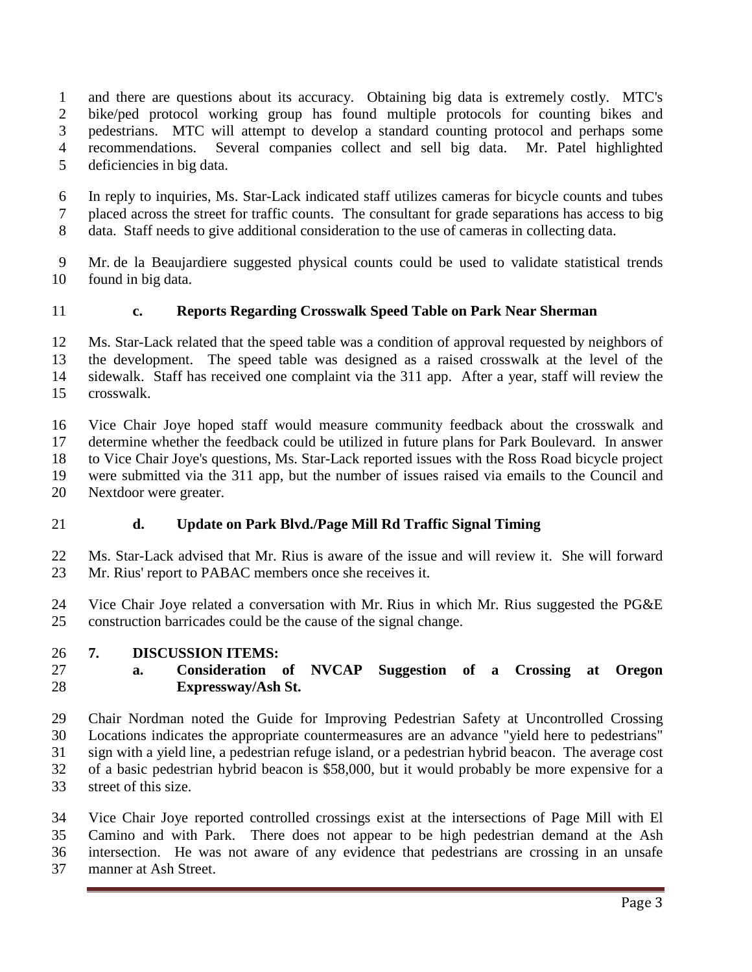and there are questions about its accuracy. Obtaining big data is extremely costly. MTC's bike/ped protocol working group has found multiple protocols for counting bikes and pedestrians. MTC will attempt to develop a standard counting protocol and perhaps some recommendations. Several companies collect and sell big data. Mr. Patel highlighted deficiencies in big data.

 In reply to inquiries, Ms. Star-Lack indicated staff utilizes cameras for bicycle counts and tubes placed across the street for traffic counts. The consultant for grade separations has access to big data. Staff needs to give additional consideration to the use of cameras in collecting data.

 Mr. de la Beaujardiere suggested physical counts could be used to validate statistical trends found in big data.

### **c. Reports Regarding Crosswalk Speed Table on Park Near Sherman**

 Ms. Star-Lack related that the speed table was a condition of approval requested by neighbors of the development. The speed table was designed as a raised crosswalk at the level of the sidewalk. Staff has received one complaint via the 311 app. After a year, staff will review the crosswalk.

 Vice Chair Joye hoped staff would measure community feedback about the crosswalk and determine whether the feedback could be utilized in future plans for Park Boulevard. In answer to Vice Chair Joye's questions, Ms. Star-Lack reported issues with the Ross Road bicycle project were submitted via the 311 app, but the number of issues raised via emails to the Council and Nextdoor were greater.

#### **d. Update on Park Blvd./Page Mill Rd Traffic Signal Timing**

 Ms. Star-Lack advised that Mr. Rius is aware of the issue and will review it. She will forward Mr. Rius' report to PABAC members once she receives it.

 Vice Chair Joye related a conversation with Mr. Rius in which Mr. Rius suggested the PG&E construction barricades could be the cause of the signal change.

#### **7. DISCUSSION ITEMS:**

# **a. Consideration of NVCAP Suggestion of a Crossing at Oregon Expressway/Ash St.**

 Chair Nordman noted the Guide for Improving Pedestrian Safety at Uncontrolled Crossing Locations indicates the appropriate countermeasures are an advance "yield here to pedestrians" sign with a yield line, a pedestrian refuge island, or a pedestrian hybrid beacon. The average cost of a basic pedestrian hybrid beacon is \$58,000, but it would probably be more expensive for a street of this size.

 Vice Chair Joye reported controlled crossings exist at the intersections of Page Mill with El Camino and with Park. There does not appear to be high pedestrian demand at the Ash intersection. He was not aware of any evidence that pedestrians are crossing in an unsafe manner at Ash Street.